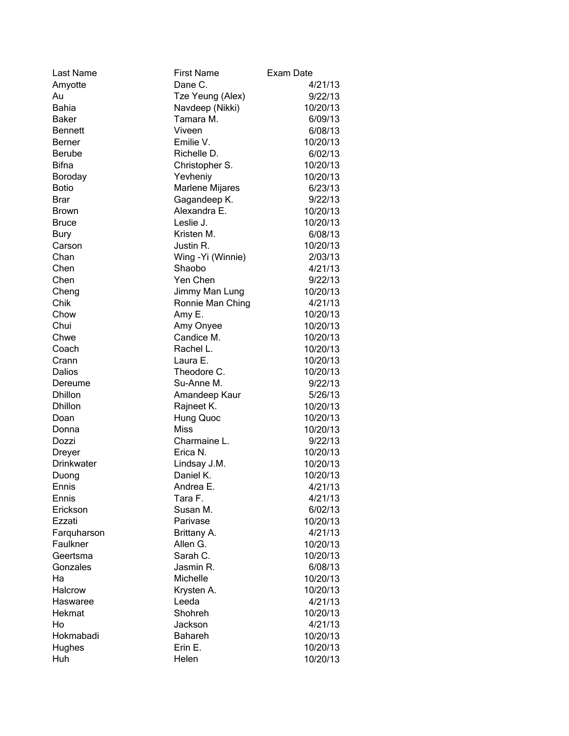| Last Name      | <b>First Name</b>  | Exam Date |
|----------------|--------------------|-----------|
| Amyotte        | Dane C.            | 4/21/13   |
| Au             | Tze Yeung (Alex)   | 9/22/13   |
| <b>Bahia</b>   | Navdeep (Nikki)    | 10/20/13  |
| <b>Baker</b>   | Tamara M.          | 6/09/13   |
| <b>Bennett</b> | Viveen             | 6/08/13   |
| Berner         | Emilie V.          | 10/20/13  |
| <b>Berube</b>  | Richelle D.        | 6/02/13   |
| <b>Bifna</b>   | Christopher S.     | 10/20/13  |
| Boroday        | Yevheniy           | 10/20/13  |
| <b>Botio</b>   | Marlene Mijares    | 6/23/13   |
| <b>Brar</b>    | Gagandeep K.       | 9/22/13   |
| <b>Brown</b>   | Alexandra E.       | 10/20/13  |
| <b>Bruce</b>   | Leslie J.          | 10/20/13  |
| <b>Bury</b>    | Kristen M.         | 6/08/13   |
| Carson         | Justin R.          | 10/20/13  |
| Chan           | Wing - Yi (Winnie) | 2/03/13   |
| Chen           | Shaobo             | 4/21/13   |
| Chen           | Yen Chen           | 9/22/13   |
| Cheng          | Jimmy Man Lung     | 10/20/13  |
| Chik           | Ronnie Man Ching   | 4/21/13   |
| Chow           | Amy E.             | 10/20/13  |
| Chui           | Amy Onyee          | 10/20/13  |
| Chwe           | Candice M.         | 10/20/13  |
| Coach          | Rachel L.          | 10/20/13  |
| Crann          | Laura E.           | 10/20/13  |
| Dalios         | Theodore C.        | 10/20/13  |
| Dereume        | Su-Anne M.         | 9/22/13   |
| <b>Dhillon</b> | Amandeep Kaur      | 5/26/13   |
| <b>Dhillon</b> | Rajneet K.         | 10/20/13  |
| Doan           | Hung Quoc          | 10/20/13  |
| Donna          | <b>Miss</b>        | 10/20/13  |
| Dozzi          | Charmaine L.       | 9/22/13   |
| Dreyer         | Erica N.           | 10/20/13  |
| Drinkwater     | Lindsay J.M.       | 10/20/13  |
| Duong          | Daniel K.          | 10/20/13  |
| Ennis          | Andrea E.          | 4/21/13   |
| Ennis          | Tara F.            | 4/21/13   |
| Erickson       | Susan M.           | 6/02/13   |
| Ezzati         | Parivase           | 10/20/13  |
| Farquharson    | Brittany A.        | 4/21/13   |
| Faulkner       | Allen G.           | 10/20/13  |
| Geertsma       | Sarah C.           | 10/20/13  |
| Gonzales       | Jasmin R.          | 6/08/13   |
| Ha             | Michelle           | 10/20/13  |
| Halcrow        | Krysten A.         | 10/20/13  |
| Haswaree       | Leeda              | 4/21/13   |
| Hekmat         | Shohreh            | 10/20/13  |
| Ho             | Jackson            | 4/21/13   |
| Hokmabadi      | <b>Bahareh</b>     | 10/20/13  |
| Hughes         | Erin E.            | 10/20/13  |
| Huh            | Helen              | 10/20/13  |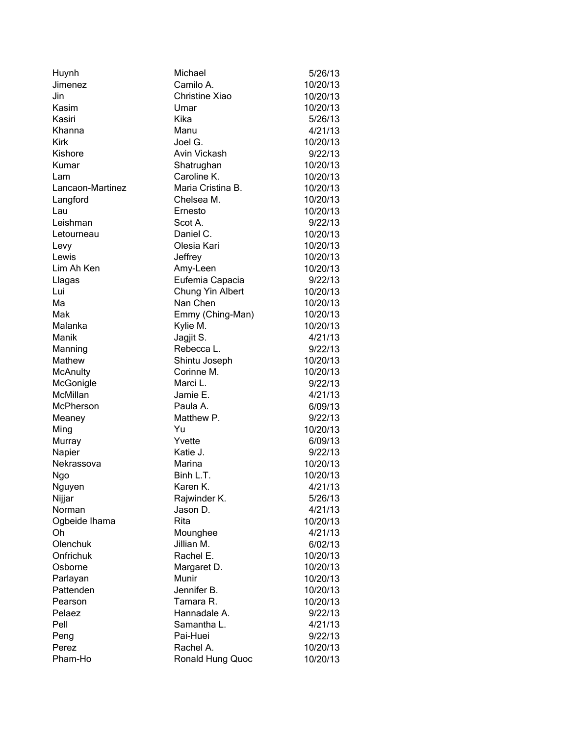| Huynh            | Michael           | 5/26/13  |
|------------------|-------------------|----------|
| Jimenez          | Camilo A.         | 10/20/13 |
| Jin              | Christine Xiao    | 10/20/13 |
| Kasim            | Umar              | 10/20/13 |
| Kasiri           | Kika              | 5/26/13  |
| Khanna           | Manu              | 4/21/13  |
| <b>Kirk</b>      | Joel G.           | 10/20/13 |
| Kishore          | Avin Vickash      | 9/22/13  |
| Kumar            | Shatrughan        | 10/20/13 |
| Lam              | Caroline K.       | 10/20/13 |
| Lancaon-Martinez | Maria Cristina B. | 10/20/13 |
| Langford         | Chelsea M.        | 10/20/13 |
| Lau              | Ernesto           | 10/20/13 |
| Leishman         | Scot A.           | 9/22/13  |
| Letourneau       | Daniel C.         | 10/20/13 |
| Levy             | Olesia Kari       | 10/20/13 |
| Lewis            | Jeffrey           | 10/20/13 |
| Lim Ah Ken       | Amy-Leen          | 10/20/13 |
| Llagas           | Eufemia Capacia   | 9/22/13  |
| Lui              | Chung Yin Albert  | 10/20/13 |
| Ma               | Nan Chen          | 10/20/13 |
| Mak              | Emmy (Ching-Man)  | 10/20/13 |
| Malanka          | Kylie M.          | 10/20/13 |
| Manik            | Jagjit S.         | 4/21/13  |
| Manning          | Rebecca L.        | 9/22/13  |
| Mathew           | Shintu Joseph     | 10/20/13 |
| <b>McAnulty</b>  | Corinne M.        | 10/20/13 |
| McGonigle        | Marci L.          | 9/22/13  |
| McMillan         | Jamie E.          | 4/21/13  |
| McPherson        | Paula A.          | 6/09/13  |
| Meaney           | Matthew P.        | 9/22/13  |
| Ming             | Yu                | 10/20/13 |
| Murray           | Yvette            | 6/09/13  |
| Napier           | Katie J.          | 9/22/13  |
| Nekrassova       | Marina            | 10/20/13 |
| Ngo              | Binh L.T.         | 10/20/13 |
| Nguyen           | Karen K.          | 4/21/13  |
| Nijjar           | Rajwinder K.      | 5/26/13  |
| Norman           | Jason D.          | 4/21/13  |
| Ogbeide Ihama    | Rita              | 10/20/13 |
| Oh               | Mounghee          | 4/21/13  |
| Olenchuk         | Jillian M.        | 6/02/13  |
| Onfrichuk        | Rachel E.         | 10/20/13 |
| Osborne          | Margaret D.       | 10/20/13 |
| Parlayan         | Munir             | 10/20/13 |
| Pattenden        | Jennifer B.       | 10/20/13 |
| Pearson          | Tamara R.         | 10/20/13 |
| Pelaez           | Hannadale A.      | 9/22/13  |
| Pell             | Samantha L.       | 4/21/13  |
| Peng             | Pai-Huei          | 9/22/13  |
| Perez            | Rachel A.         | 10/20/13 |
| Pham-Ho          | Ronald Hung Quoc  | 10/20/13 |